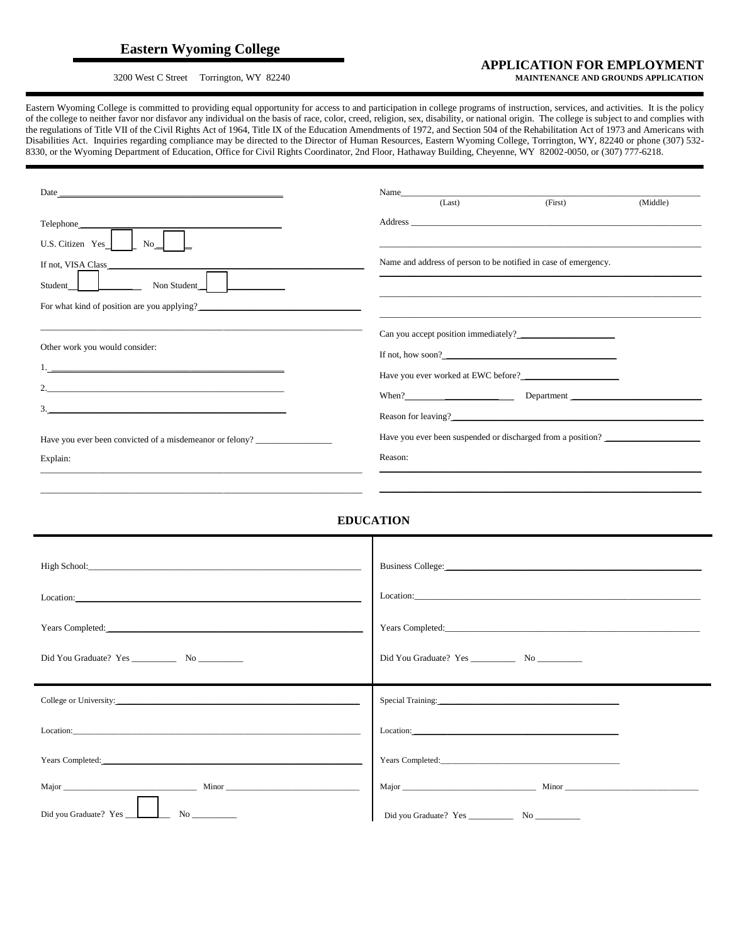## **Eastern Wyoming College**

## **APPLICATION FOR EMPLOYMENT**3200 West C Street Torrington, WY 82240 **MAINTENANCE AND GROUNDS APPLICATION**

Eastern Wyoming College is committed to providing equal opportunity for access to and participation in college programs of instruction, services, and activities. It is the policy of the college to neither favor nor disfavor any individual on the basis of race, color, creed, religion, sex, disability, or national origin. The college is subject to and complies with the regulations of Title VII of the Civil Rights Act of 1964, Title IX of the Education Amendments of 1972, and Section 504 of the Rehabilitation Act of 1973 and Americans with Disabilities Act. Inquiries regarding compliance may be directed to the Director of Human Resources, Eastern Wyoming College, Torrington, WY, 82240 or phone (307) 532- 8330, or the Wyoming Department of Education, Office for Civil Rights Coordinator, 2nd Floor, Hathaway Building, Cheyenne, WY 82002-0050, or (307) 777-6218.

|                                                                                                                                                                                                                               | (First)<br>(Last)<br>(Middle)                                                                                                                                                                                                  |
|-------------------------------------------------------------------------------------------------------------------------------------------------------------------------------------------------------------------------------|--------------------------------------------------------------------------------------------------------------------------------------------------------------------------------------------------------------------------------|
| Telephone________                                                                                                                                                                                                             | Address experiences and the second contract of the second contract of the second contract of the second contract of the second contract of the second contract of the second contract of the second contract of the second con |
| $No_$<br>U.S. Citizen Yes                                                                                                                                                                                                     |                                                                                                                                                                                                                                |
| If not, VISA Class                                                                                                                                                                                                            | Name and address of person to be notified in case of emergency.                                                                                                                                                                |
| Student_<br>Non Student                                                                                                                                                                                                       |                                                                                                                                                                                                                                |
| For what kind of position are you applying?                                                                                                                                                                                   |                                                                                                                                                                                                                                |
|                                                                                                                                                                                                                               | <u> 1989 - Johann Stoff, Amerikaansk politiker († 1908)</u>                                                                                                                                                                    |
| Other work you would consider:                                                                                                                                                                                                | If not, how soon? $\qquad \qquad$                                                                                                                                                                                              |
| $1.$ . The contract of the contract of the contract of the contract of the contract of $\mathcal{L}_\mathcal{A}$                                                                                                              |                                                                                                                                                                                                                                |
|                                                                                                                                                                                                                               |                                                                                                                                                                                                                                |
|                                                                                                                                                                                                                               |                                                                                                                                                                                                                                |
|                                                                                                                                                                                                                               |                                                                                                                                                                                                                                |
| Have you ever been convicted of a misdemeanor or felony?                                                                                                                                                                      | Have you ever been suspended or discharged from a position? ____________________                                                                                                                                               |
| Explain:                                                                                                                                                                                                                      | Reason:                                                                                                                                                                                                                        |
|                                                                                                                                                                                                                               |                                                                                                                                                                                                                                |
|                                                                                                                                                                                                                               |                                                                                                                                                                                                                                |
|                                                                                                                                                                                                                               | <b>EDUCATION</b>                                                                                                                                                                                                               |
|                                                                                                                                                                                                                               |                                                                                                                                                                                                                                |
|                                                                                                                                                                                                                               |                                                                                                                                                                                                                                |
|                                                                                                                                                                                                                               |                                                                                                                                                                                                                                |
| Location: the contract of the contract of the contract of the contract of the contract of the contract of the contract of the contract of the contract of the contract of the contract of the contract of the contract of the |                                                                                                                                                                                                                                |
|                                                                                                                                                                                                                               |                                                                                                                                                                                                                                |
|                                                                                                                                                                                                                               |                                                                                                                                                                                                                                |
|                                                                                                                                                                                                                               |                                                                                                                                                                                                                                |
|                                                                                                                                                                                                                               |                                                                                                                                                                                                                                |
| College or University:                                                                                                                                                                                                        | Special Training:                                                                                                                                                                                                              |
| Location:                                                                                                                                                                                                                     | Location:                                                                                                                                                                                                                      |
|                                                                                                                                                                                                                               |                                                                                                                                                                                                                                |
| Years Completed:                                                                                                                                                                                                              |                                                                                                                                                                                                                                |
| <b>Minor</b><br>Major _                                                                                                                                                                                                       | Minor<br>Major                                                                                                                                                                                                                 |
| Did you Graduate? Yes<br>$No$ $\qquad$                                                                                                                                                                                        |                                                                                                                                                                                                                                |